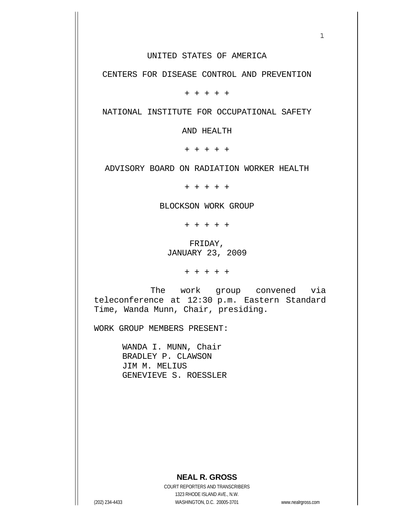#### UNITED STATES OF AMERICA

 $1$ 

CENTERS FOR DISEASE CONTROL AND PREVENTION

+ + + + +

NATIONAL INSTITUTE FOR OCCUPATIONAL SAFETY

AND HEALTH

+ + + + +

ADVISORY BOARD ON RADIATION WORKER HEALTH

+ + + + +

#### BLOCKSON WORK GROUP

+ + + + +

 FRIDAY, JANUARY 23, 2009

+ + + + +

 The work group convened via teleconference at 12:30 p.m. Eastern Standard Time, Wanda Munn, Chair, presiding.

WORK GROUP MEMBERS PRESENT:

 WANDA I. MUNN, Chair BRADLEY P. CLAWSON JIM M. MELIUS GENEVIEVE S. ROESSLER

## **NEAL R. GROSS**

 COURT REPORTERS AND TRANSCRIBERS 1323 RHODE ISLAND AVE., N.W. (202) 234-4433 WASHINGTON, D.C. 20005-3701 www.nealrgross.com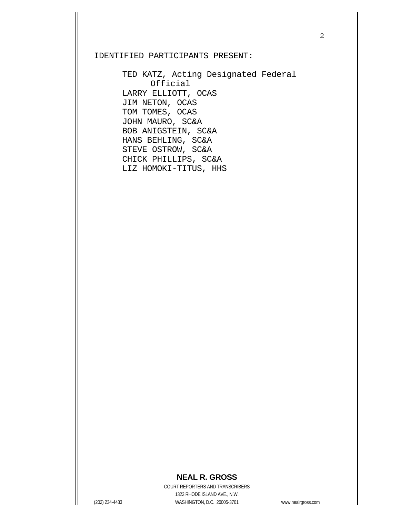### IDENTIFIED PARTICIPANTS PRESENT:

 TED KATZ, Acting Designated Federal Official LARRY ELLIOTT, OCAS JIM NETON, OCAS TOM TOMES, OCAS JOHN MAURO, SC&A BOB ANIGSTEIN, SC&A HANS BEHLING, SC&A STEVE OSTROW, SC&A CHICK PHILLIPS, SC&A LIZ HOMOKI-TITUS, HHS

## 2

# **NEAL R. GROSS**

 COURT REPORTERS AND TRANSCRIBERS 1323 RHODE ISLAND AVE., N.W. (202) 234-4433 WASHINGTON, D.C. 20005-3701 www.nealrgross.com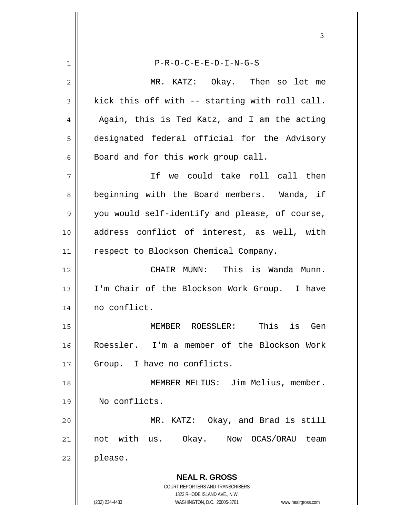**NEAL R. GROSS** COURT REPORTERS AND TRANSCRIBERS 1323 RHODE ISLAND AVE., N.W. (202) 234-4433 WASHINGTON, D.C. 20005-3701 www.nealrgross.com 1 P-R-O-C-E-E-D-I-N-G-S 2 MR. KATZ: Okay. Then so let me  $3 \parallel$  kick this off with -- starting with roll call.  $4 \parallel$  Again, this is Ted Katz, and I am the acting 5 designated federal official for the Advisory 6 | Board and for this work group call. 7 If we could take roll call then 8 || beginning with the Board members. Wanda, if 9 you would self-identify and please, of course, 10 address conflict of interest, as well, with 11 || respect to Blockson Chemical Company. 12 CHAIR MUNN: This is Wanda Munn. 13 || I'm Chair of the Blockson Work Group. I have 14 | no conflict. 15 MEMBER ROESSLER: This is Gen 16 Roessler. I'm a member of the Blockson Work 17 || Group. I have no conflicts. 18 || MEMBER MELIUS: Jim Melius, member. 19 No conflicts. 20 MR. KATZ: Okay, and Brad is still 21 || not with us. Okay. Now OCAS/ORAU team  $22 \parallel$  please.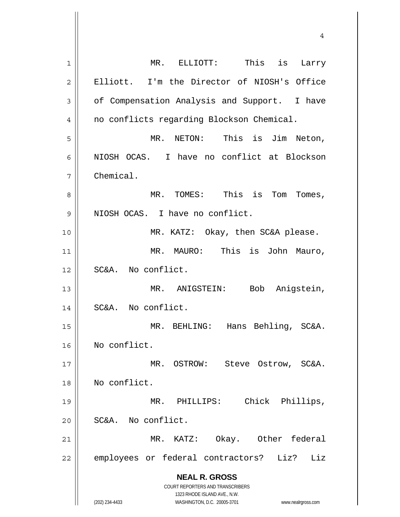| 1              | MR. ELLIOTT: This is Larry                                                                          |
|----------------|-----------------------------------------------------------------------------------------------------|
| $\overline{2}$ | Elliott. I'm the Director of NIOSH's Office                                                         |
| 3              | of Compensation Analysis and Support. I have                                                        |
| 4              | no conflicts regarding Blockson Chemical.                                                           |
| 5              | MR. NETON: This is Jim Neton,                                                                       |
| 6              | NIOSH OCAS. I have no conflict at Blockson                                                          |
| 7              | Chemical.                                                                                           |
| 8              | MR. TOMES: This is Tom Tomes,                                                                       |
| 9              | NIOSH OCAS. I have no conflict.                                                                     |
| 10             | MR. KATZ: Okay, then SC&A please.                                                                   |
| 11             | MR. MAURO: This is John Mauro,                                                                      |
| 12             | SC&A. No conflict.                                                                                  |
| 13             | Bob Anigstein,<br>MR. ANIGSTEIN:                                                                    |
| 14             | SC&A. No conflict.                                                                                  |
| 15             | Hans Behling, SC&A.<br>MR. BEHLING:                                                                 |
| 16             | No conflict.                                                                                        |
| 17             | MR. OSTROW: Steve Ostrow, SC&A.                                                                     |
| 18             | No conflict.                                                                                        |
| 19             | Chick Phillips,<br>MR. PHILLIPS:                                                                    |
| 20             | SC&A. No conflict.                                                                                  |
| 21             | Okay. Other federal<br>MR. KATZ:                                                                    |
| 22             | employees or federal contractors?<br>Liz?<br>Liz                                                    |
|                | <b>NEAL R. GROSS</b>                                                                                |
|                | COURT REPORTERS AND TRANSCRIBERS                                                                    |
|                | 1323 RHODE ISLAND AVE., N.W.<br>(202) 234-4433<br>WASHINGTON, D.C. 20005-3701<br>www.nealrgross.com |

 $\mathsf{l}$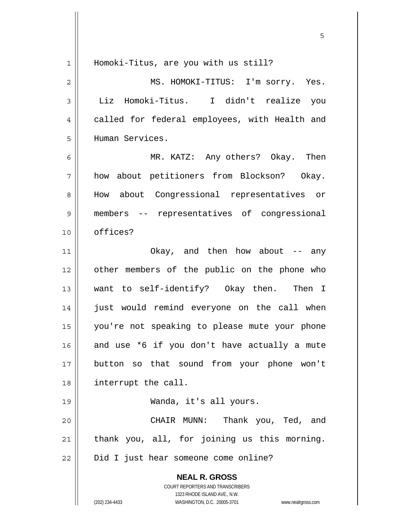| $\mathbf{1}$   | Homoki-Titus, are you with us still?                                                                |
|----------------|-----------------------------------------------------------------------------------------------------|
| $\overline{c}$ | MS. HOMOKI-TITUS: I'm sorry. Yes.                                                                   |
| 3              | Liz Homoki-Titus. I didn't realize you                                                              |
| 4              | called for federal employees, with Health and                                                       |
| 5              | Human Services.                                                                                     |
| 6              | MR. KATZ: Any others? Okay. Then                                                                    |
| 7              | how about petitioners from Blockson? Okay.                                                          |
| 8              | How about Congressional representatives or                                                          |
| 9              | members -- representatives of congressional                                                         |
| 10             | offices?                                                                                            |
| 11             | Okay, and then how about $-$ any                                                                    |
| 12             | other members of the public on the phone who                                                        |
| 13             | want to self-identify? Okay then. Then I                                                            |
| 14             | just would remind everyone on the call when                                                         |
| 15             | you're not speaking to please mute your phone                                                       |
| 16             | and use *6 if you don't have actually a mute                                                        |
| 17             | button so that sound from your phone won't                                                          |
| 18             | interrupt the call.                                                                                 |
| 19             | Wanda, it's all yours.                                                                              |
| 20             | CHAIR MUNN: Thank you, Ted, and                                                                     |
| 21             | thank you, all, for joining us this morning.                                                        |
| 22             | Did I just hear someone come online?                                                                |
|                | <b>NEAL R. GROSS</b>                                                                                |
|                | COURT REPORTERS AND TRANSCRIBERS                                                                    |
|                | 1323 RHODE ISLAND AVE., N.W.<br>(202) 234-4433<br>WASHINGTON, D.C. 20005-3701<br>www.nealrgross.com |
|                |                                                                                                     |

 $\sim$  5  $\sim$  5  $\sim$  5  $\sim$  5  $\sim$  5  $\sim$  5  $\sim$  5  $\sim$  5  $\sim$  5  $\sim$  5  $\sim$  5  $\sim$  5  $\sim$  5  $\sim$  5  $\sim$  5  $\sim$  5  $\sim$  5  $\sim$  5  $\sim$  5  $\sim$  5  $\sim$  5  $\sim$  5  $\sim$  5  $\sim$  5  $\sim$  5  $\sim$  5  $\sim$  5  $\sim$  5  $\sim$  5  $\sim$  5  $\sim$  5  $\sim$ 

 $\mathsf{I}$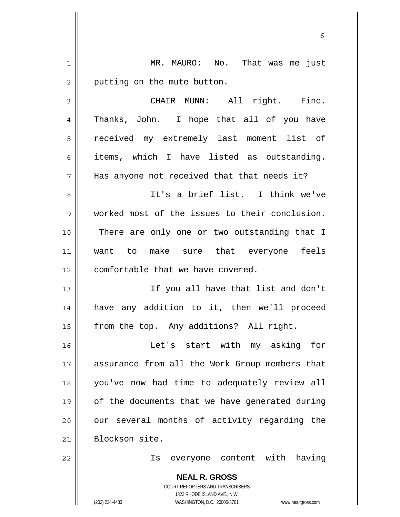**NEAL R. GROSS** COURT REPORTERS AND TRANSCRIBERS 1323 RHODE ISLAND AVE., N.W. 1 || MR. MAURO: No. That was me just  $2 \parallel$  putting on the mute button. 3 || CHAIR MUNN: All right. Fine. 4 Thanks, John. I hope that all of you have 5 || received my extremely last moment list of 6 items, which I have listed as outstanding. 7 || Has anyone not received that that needs it? 8 It's a brief list. I think we've 9 worked most of the issues to their conclusion. 10 || There are only one or two outstanding that I 11 want to make sure that everyone feels 12 || comfortable that we have covered. 13 || Tf you all have that list and don't 14 have any addition to it, then we'll proceed 15 | from the top. Any additions? All right. 16 Let's start with my asking for 17 assurance from all the Work Group members that 18 you've now had time to adequately review all 19 || of the documents that we have generated during  $20$  || our several months of activity regarding the 21 || Blockson site. 22 Is everyone content with having

 $\sim$  6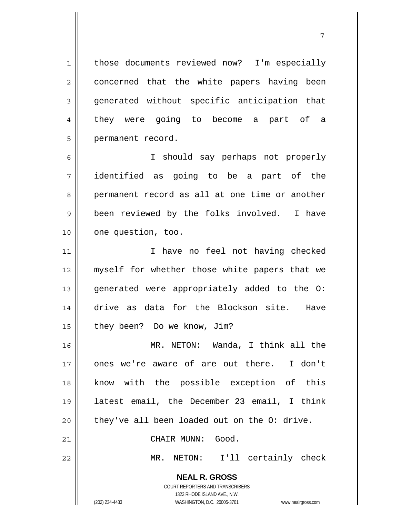1 | those documents reviewed now? I'm especially 2 || concerned that the white papers having been 3 generated without specific anticipation that 4 they were going to become a part of a 5 || permanent record.

7

6 I should say perhaps not properly 7 identified as going to be a part of the 8 permanent record as all at one time or another 9 || been reviewed by the folks involved. I have 10 || one question, too.

11 || I have no feel not having checked 12 || myself for whether those white papers that we 13 || generated were appropriately added to the O: 14 drive as data for the Blockson site. Have 15 | they been? Do we know, Jim?

MR. NETON: Wanda, I think all the ones we're aware of are out there. I don't know with the possible exception of this latest email, the December 23 email, I think || they've all been loaded out on the O: drive.

21 | CHAIR MUNN: Good.

22 MR. NETON: I'll certainly check

 **NEAL R. GROSS** COURT REPORTERS AND TRANSCRIBERS 1323 RHODE ISLAND AVE., N.W.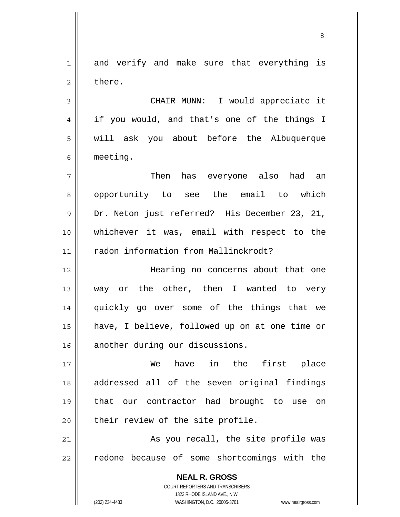**NEAL R. GROSS** COURT REPORTERS AND TRANSCRIBERS 1 and verify and make sure that everything is  $2 \parallel$  there. 3 CHAIR MUNN: I would appreciate it 4 || if you would, and that's one of the things I 5 || will ask you about before the Albuquerque 6 meeting. 7 Then has everyone also had an 8 || opportunity to see the email to which 9 Dr. Neton just referred? His December 23, 21, 10 whichever it was, email with respect to the 11 | radon information from Mallinckrodt? 12 Hearing no concerns about that one 13 || way or the other, then I wanted to very 14 quickly go over some of the things that we 15 have, I believe, followed up on at one time or 16 another during our discussions. 17 We have in the first place 18 || addressed all of the seven original findings 19 that our contractor had brought to use on  $20$  | their review of the site profile. 21 As you recall, the site profile was 22 || redone because of some shortcomings with the

<u>83 - Santa Carlos de Santa Carlos de Santa Carlos de Santa Carlos de Santa Carlos de Santa Carlos de Santa Ca</u>

1323 RHODE ISLAND AVE., N.W.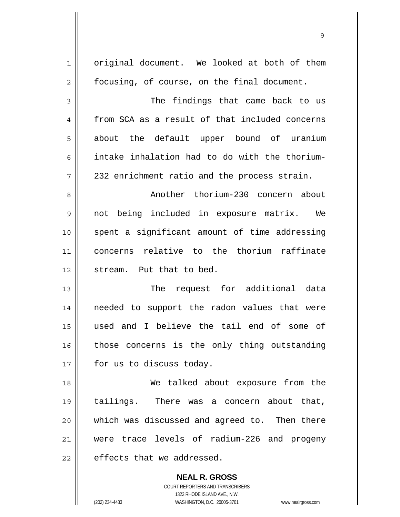| $\mathbf{1}$   | original document. We looked at both of them   |
|----------------|------------------------------------------------|
| $\overline{2}$ | focusing, of course, on the final document.    |
| 3              | The findings that came back to us              |
| 4              | from SCA as a result of that included concerns |
| 5              | about the default upper bound of uranium       |
| 6              | intake inhalation had to do with the thorium-  |
| 7              | 232 enrichment ratio and the process strain.   |
| 8              | Another thorium-230 concern about              |
| 9              | not being included in exposure matrix. We      |
| 10             | spent a significant amount of time addressing  |
| 11             | concerns relative to the thorium raffinate     |
| 12             | stream. Put that to bed.                       |
| 13             | request for additional data<br>The             |
| 14             | needed to support the radon values that were   |
| 15             | used and I believe the tail end of some of     |
| 16             | those concerns is the only thing outstanding   |
| 17             | for us to discuss today.                       |
| 18             | We talked about exposure from the              |
| 19             | tailings. There was a concern about that,      |
| 20             | which was discussed and agreed to. Then there  |
| 21             | were trace levels of radium-226 and progeny    |
| 22             | effects that we addressed.                     |
|                | <b>NEAL R. GROSS</b>                           |

 COURT REPORTERS AND TRANSCRIBERS 1323 RHODE ISLAND AVE., N.W.

 $\mathsf{II}$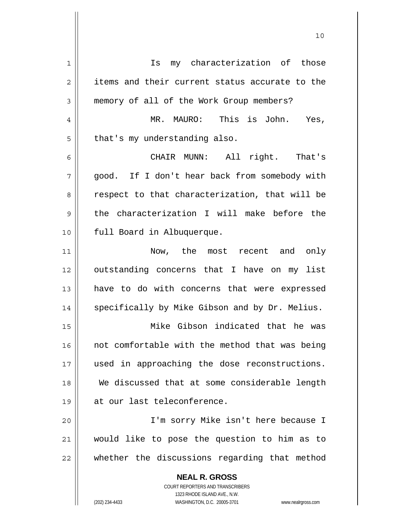| 1  | my characterization of those<br>Is                       |
|----|----------------------------------------------------------|
| 2  | items and their current status accurate to the           |
| 3  | memory of all of the Work Group members?                 |
| 4  | MR. MAURO: This is John. Yes,                            |
| 5  | that's my understanding also.                            |
| 6  | All right. That's<br>CHAIR MUNN:                         |
| 7  | good. If I don't hear back from somebody with            |
| 8  | respect to that characterization, that will be           |
| 9  | the characterization I will make before the              |
| 10 | full Board in Albuquerque.                               |
| 11 | Now, the most recent and only                            |
| 12 | outstanding concerns that I have on my list              |
| 13 | have to do with concerns that were expressed             |
| 14 | specifically by Mike Gibson and by Dr. Melius.           |
| 15 | Mike Gibson indicated that he was                        |
| 16 | not comfortable with the method that was being           |
| 17 | used in approaching the dose reconstructions.            |
| 18 | We discussed that at some considerable length            |
| 19 | at our last teleconference.                              |
| 20 | I'm sorry Mike isn't here because I                      |
| 21 | would like to pose the question to him as to             |
| 22 | whether the discussions regarding that method            |
|    | <b>NEAL R. GROSS</b><br>COURT REPORTERS AND TRANSCRIBERS |

1323 RHODE ISLAND AVE., N.W.

 $\prod$ 

(202) 234-4433 WASHINGTON, D.C. 20005-3701 www.nealrgross.com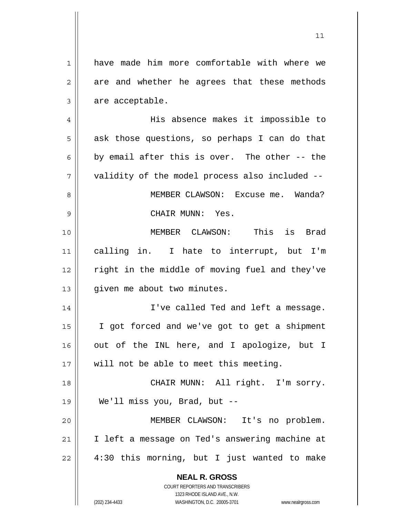| $\mathbf 1$    | have made him more comfortable with where we                                                        |
|----------------|-----------------------------------------------------------------------------------------------------|
| $\overline{2}$ | are and whether he agrees that these methods                                                        |
| 3              | are acceptable.                                                                                     |
| 4              | His absence makes it impossible to                                                                  |
| 5              | ask those questions, so perhaps I can do that                                                       |
| 6              | by email after this is over. The other -- the                                                       |
| 7              | validity of the model process also included --                                                      |
| 8              | MEMBER CLAWSON: Excuse me. Wanda?                                                                   |
| 9              | CHAIR MUNN: Yes.                                                                                    |
| 10             | MEMBER CLAWSON: This is Brad                                                                        |
| 11             | calling in. I hate to interrupt, but I'm                                                            |
| 12             | right in the middle of moving fuel and they've                                                      |
| 13             | given me about two minutes.                                                                         |
| 14             | I've called Ted and left a message.                                                                 |
| 15             | I got forced and we've got to get a shipment                                                        |
| 16             | out of the INL here, and I apologize, but I                                                         |
| 17             | will not be able to meet this meeting.                                                              |
| 18             | CHAIR MUNN: All right. I'm sorry.                                                                   |
| 19             | We'll miss you, Brad, but --                                                                        |
| 20             | MEMBER CLAWSON: It's no problem.                                                                    |
| 21             | I left a message on Ted's answering machine at                                                      |
|                |                                                                                                     |
| 22             | 4:30 this morning, but I just wanted to make                                                        |
|                | <b>NEAL R. GROSS</b>                                                                                |
|                | COURT REPORTERS AND TRANSCRIBERS                                                                    |
|                | 1323 RHODE ISLAND AVE., N.W.<br>(202) 234-4433<br>WASHINGTON, D.C. 20005-3701<br>www.nealrgross.com |
|                |                                                                                                     |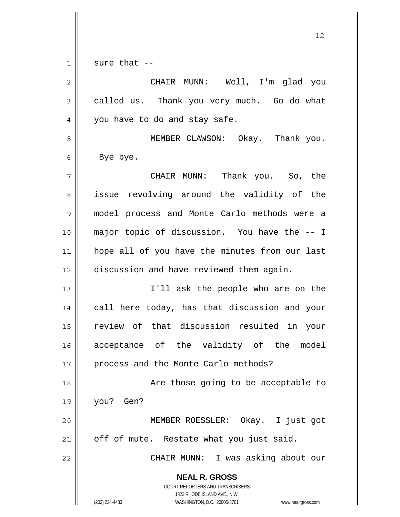$1 \parallel$  sure that --

| $\overline{2}$ | CHAIR MUNN: Well, I'm glad you                                                                                                                                  |
|----------------|-----------------------------------------------------------------------------------------------------------------------------------------------------------------|
| 3              | called us. Thank you very much. Go do what                                                                                                                      |
| 4              | you have to do and stay safe.                                                                                                                                   |
| 5              | MEMBER CLAWSON: Okay. Thank you.                                                                                                                                |
| 6              | Bye bye.                                                                                                                                                        |
| 7              | CHAIR MUNN: Thank you. So, the                                                                                                                                  |
| 8              | issue revolving around the validity of the                                                                                                                      |
| $\mathsf 9$    | model process and Monte Carlo methods were a                                                                                                                    |
| 10             | major topic of discussion. You have the -- I                                                                                                                    |
| 11             | hope all of you have the minutes from our last                                                                                                                  |
| 12             | discussion and have reviewed them again.                                                                                                                        |
| 13             | I'll ask the people who are on the                                                                                                                              |
| 14             | call here today, has that discussion and your                                                                                                                   |
| 15             | review of that discussion resulted in your                                                                                                                      |
| 16             | acceptance of the validity of the model                                                                                                                         |
| 17             | process and the Monte Carlo methods?                                                                                                                            |
| 18             | Are those going to be acceptable to                                                                                                                             |
| 19             | you? Gen?                                                                                                                                                       |
| 20             | MEMBER ROESSLER: Okay. I just got                                                                                                                               |
| 21             | off of mute. Restate what you just said.                                                                                                                        |
| 22             | CHAIR MUNN: I was asking about our                                                                                                                              |
|                | <b>NEAL R. GROSS</b><br>COURT REPORTERS AND TRANSCRIBERS<br>1323 RHODE ISLAND AVE., N.W.<br>(202) 234-4433<br>WASHINGTON, D.C. 20005-3701<br>www.nealrgross.com |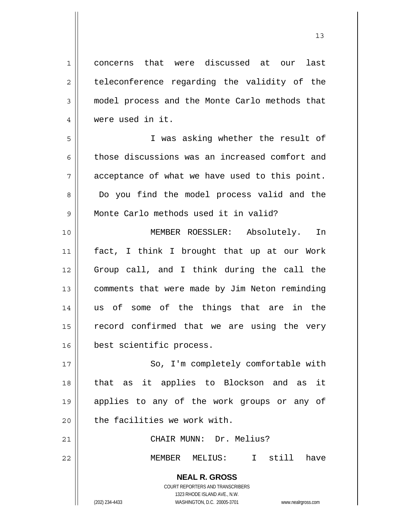1 concerns that were discussed at our last  $2 \parallel$  teleconference regarding the validity of the 3 model process and the Monte Carlo methods that 4 were used in it. 5 I was asking whether the result of 6 those discussions was an increased comfort and  $7 \parallel$  acceptance of what we have used to this point. 8 Do you find the model process valid and the 9 || Monte Carlo methods used it in valid? 10 MEMBER ROESSLER: Absolutely. In 11 fact, I think I brought that up at our Work 12 Group call, and I think during the call the 13 | comments that were made by Jim Neton reminding 14 us of some of the things that are in the 15 || record confirmed that we are using the very 16 best scientific process. 17 || So, I'm completely comfortable with 18 that as it applies to Blockson and as it 19 applies to any of the work groups or any of  $20$   $\parallel$  the facilities we work with. 21 CHAIR MUNN: Dr. Melius?

22 || MEMBER MELIUS: I still have

 **NEAL R. GROSS** COURT REPORTERS AND TRANSCRIBERS 1323 RHODE ISLAND AVE., N.W.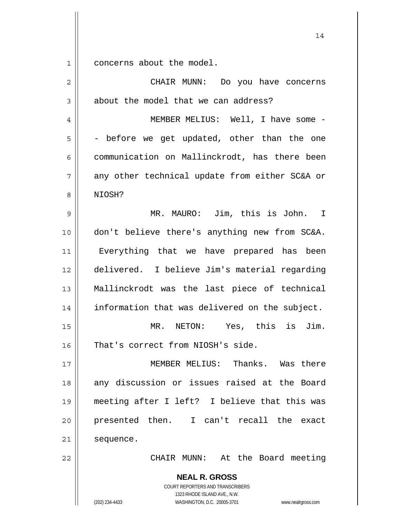$1 \parallel$  concerns about the model.

| $\overline{2}$ | CHAIR MUNN: Do you have concerns                                                                                                                                |
|----------------|-----------------------------------------------------------------------------------------------------------------------------------------------------------------|
| 3              | about the model that we can address?                                                                                                                            |
| $\overline{4}$ | MEMBER MELIUS: Well, I have some -                                                                                                                              |
| 5              | - before we get updated, other than the one                                                                                                                     |
| 6              | communication on Mallinckrodt, has there been                                                                                                                   |
| $\overline{7}$ | any other technical update from either SC&A or                                                                                                                  |
| 8              | NIOSH?                                                                                                                                                          |
| 9              | MR. MAURO: Jim, this is John. I                                                                                                                                 |
| 10             | don't believe there's anything new from SC&A.                                                                                                                   |
| 11             | Everything that we have prepared has been                                                                                                                       |
| 12             | delivered. I believe Jim's material regarding                                                                                                                   |
| 13             | Mallinckrodt was the last piece of technical                                                                                                                    |
| 14             | information that was delivered on the subject.                                                                                                                  |
| 15             | MR. NETON: Yes, this is Jim.                                                                                                                                    |
| 16             | That's correct from NIOSH's side.                                                                                                                               |
| 17             | MEMBER MELIUS:<br>Thanks. Was there                                                                                                                             |
| 18             | any discussion or issues raised at the Board                                                                                                                    |
| 19             | meeting after I left? I believe that this was                                                                                                                   |
| 20             | presented then. I can't recall the exact                                                                                                                        |
| 21             | sequence.                                                                                                                                                       |
| 22             | CHAIR MUNN: At the Board meeting                                                                                                                                |
|                | <b>NEAL R. GROSS</b><br>COURT REPORTERS AND TRANSCRIBERS<br>1323 RHODE ISLAND AVE., N.W.<br>(202) 234-4433<br>WASHINGTON, D.C. 20005-3701<br>www.nealrgross.com |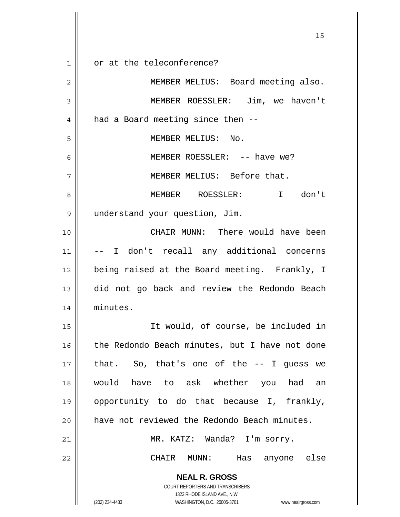**NEAL R. GROSS** COURT REPORTERS AND TRANSCRIBERS 1323 RHODE ISLAND AVE., N.W. (202) 234-4433 WASHINGTON, D.C. 20005-3701 www.nealrgross.com 15 1 || or at the teleconference? 2 || MEMBER MELIUS: Board meeting also. 3 MEMBER ROESSLER: Jim, we haven't  $4 \parallel$  had a Board meeting since then  $-$ -5 || MEMBER MELIUS: No. 6 MEMBER ROESSLER: -- have we? 7 || MEMBER MELIUS: Before that. 8 MEMBER ROESSLER: I don't 9 understand your question, Jim. 10 CHAIR MUNN: There would have been 11 -- I don't recall any additional concerns 12 || being raised at the Board meeting. Frankly, I 13 did not go back and review the Redondo Beach 14 minutes. 15 It would, of course, be included in 16 || the Redondo Beach minutes, but I have not done  $17$  || that. So, that's one of the  $-$ - I guess we 18 would have to ask whether you had an 19 opportunity to do that because I, frankly, 20 || have not reviewed the Redondo Beach minutes. 21 MR. KATZ: Wanda? I'm sorry. 22 CHAIR MUNN: Has anyone else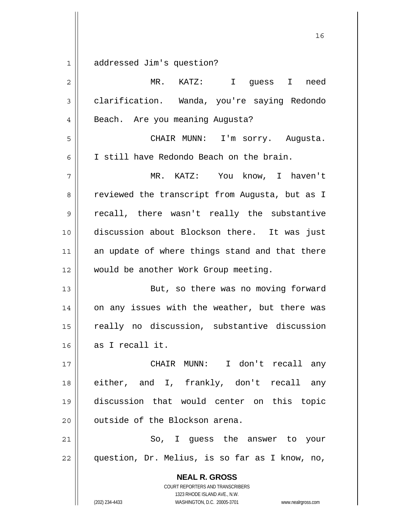1 addressed Jim's question?

| $\overline{2}$ | MR. KATZ: I guess I<br>need                              |
|----------------|----------------------------------------------------------|
| 3              | clarification. Wanda, you're saying Redondo              |
| 4              | Beach. Are you meaning Augusta?                          |
| 5              | CHAIR MUNN: I'm sorry. Augusta.                          |
| 6              | I still have Redondo Beach on the brain.                 |
| 7              | MR. KATZ: You know, I haven't                            |
| 8              | reviewed the transcript from Augusta, but as I           |
| 9              | recall, there wasn't really the substantive              |
| 10             | discussion about Blockson there. It was just             |
| 11             | an update of where things stand and that there           |
| 12             | would be another Work Group meeting.                     |
| 13             | But, so there was no moving forward                      |
| 14             | on any issues with the weather, but there was            |
| 15             | really no discussion, substantive discussion             |
| 16             | as I recall it.                                          |
| 17             | I don't recall any<br>CHAIR MUNN:                        |
| 18             | either, and I, frankly, don't recall any                 |
| 19             | discussion that would center on this topic               |
| 20             | outside of the Blockson arena.                           |
| 21             | So, I guess the answer to your                           |
| 22             | question, Dr. Melius, is so far as I know, no,           |
|                | <b>NEAL R. GROSS</b><br>COURT REPORTERS AND TRANSCRIBERS |

1323 RHODE ISLAND AVE., N.W.

 $\overline{\phantom{a}}$  $\prod_{i=1}^{n}$ 

(202) 234-4433 WASHINGTON, D.C. 20005-3701 www.nealrgross.com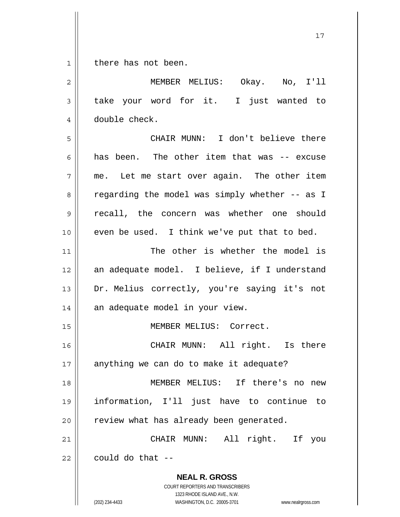$1 \parallel$  there has not been.

| $\overline{c}$ | MEMBER MELIUS: Okay. No, I'll                                                                                                                                          |
|----------------|------------------------------------------------------------------------------------------------------------------------------------------------------------------------|
| $\mathfrak{Z}$ | take your word for it. I just wanted to                                                                                                                                |
| 4              | double check.                                                                                                                                                          |
| 5              | CHAIR MUNN: I don't believe there                                                                                                                                      |
| 6              | has been. The other item that was -- excuse                                                                                                                            |
| 7              | me. Let me start over again. The other item                                                                                                                            |
| 8              | regarding the model was simply whether -- as I                                                                                                                         |
| 9              | recall, the concern was whether one should                                                                                                                             |
| 10             | even be used. I think we've put that to bed.                                                                                                                           |
| 11             | The other is whether the model is                                                                                                                                      |
| 12             | an adequate model. I believe, if I understand                                                                                                                          |
| 13             | Dr. Melius correctly, you're saying it's not                                                                                                                           |
| 14             | an adequate model in your view.                                                                                                                                        |
| 15             | MEMBER MELIUS: Correct.                                                                                                                                                |
| 16             | CHAIR MUNN: All right. Is there                                                                                                                                        |
| $17$           | anything we can do to make it adequate?                                                                                                                                |
| 18             | MEMBER MELIUS: If there's no<br>new                                                                                                                                    |
| 19             | information, I'll just have to continue<br>to                                                                                                                          |
| 20             | review what has already been generated.                                                                                                                                |
| 21             | CHAIR MUNN: All right. If<br>you                                                                                                                                       |
| 22             | could do that --                                                                                                                                                       |
|                | <b>NEAL R. GROSS</b><br><b>COURT REPORTERS AND TRANSCRIBERS</b><br>1323 RHODE ISLAND AVE., N.W.<br>(202) 234-4433<br>WASHINGTON, D.C. 20005-3701<br>www.nealrgross.com |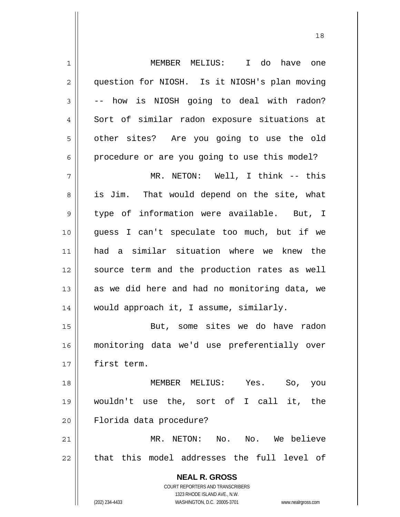| $\mathbf 1$    | MEMBER MELIUS: I do have one                                                             |
|----------------|------------------------------------------------------------------------------------------|
| $\overline{c}$ | question for NIOSH. Is it NIOSH's plan moving                                            |
| 3              | -- how is NIOSH going to deal with radon?                                                |
| 4              | Sort of similar radon exposure situations at                                             |
| 5              | other sites? Are you going to use the old                                                |
| 6              | procedure or are you going to use this model?                                            |
| 7              | MR. NETON: Well, I think -- this                                                         |
| 8              | is Jim. That would depend on the site, what                                              |
| $\mathsf 9$    | type of information were available. But, I                                               |
| 10             | guess I can't speculate too much, but if we                                              |
| 11             | had a similar situation where we knew the                                                |
| 12             | source term and the production rates as well                                             |
| 13             | as we did here and had no monitoring data, we                                            |
| 14             | would approach it, I assume, similarly.                                                  |
| 15             | But, some sites we do have radon                                                         |
| 16             | monitoring data we'd use preferentially over                                             |
| 17             | first term.                                                                              |
| 18             | MEMBER MELIUS:<br>Yes. So,<br>you                                                        |
| 19             | wouldn't use the, sort of I call it,<br>the                                              |
| 20             | Florida data procedure?                                                                  |
| 21             | MR. NETON: No. No. We believe                                                            |
| 22             | that this model addresses the full level of                                              |
|                | <b>NEAL R. GROSS</b><br>COURT REPORTERS AND TRANSCRIBERS<br>1323 RHODE ISLAND AVE., N.W. |
|                | (202) 234-4433<br>WASHINGTON, D.C. 20005-3701<br>www.nealrgross.com                      |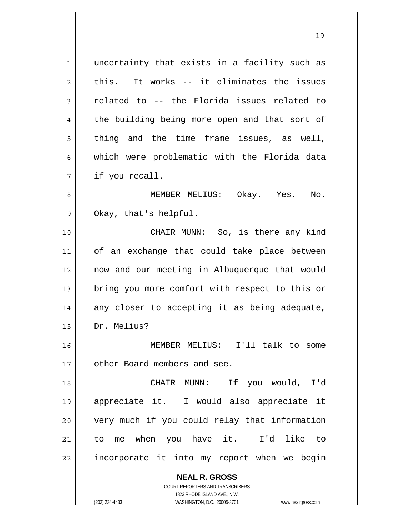1 || uncertainty that exists in a facility such as  $2 \parallel$  this. It works -- it eliminates the issues  $3 \parallel$  related to -- the Florida issues related to 4 || the building being more open and that sort of  $5 \parallel$  thing and the time frame issues, as well, 6 || which were problematic with the Florida data  $7 \parallel$  if you recall. 8 MEMBER MELIUS: Okay. Yes. No.  $9 \parallel$  Okay, that's helpful. 10 || CHAIR MUNN: So, is there any kind 11 || of an exchange that could take place between 12 now and our meeting in Albuquerque that would 13 || bring you more comfort with respect to this or  $14$  any closer to accepting it as being adequate,

15 Dr. Melius?

16 MEMBER MELIUS: I'll talk to some 17 || other Board members and see.

CHAIR MUNN: If you would, I'd appreciate it. I would also appreciate it very much if you could relay that information to me when you have it. I'd like to 22 || incorporate it into my report when we begin

 **NEAL R. GROSS**

 COURT REPORTERS AND TRANSCRIBERS 1323 RHODE ISLAND AVE., N.W. (202) 234-4433 WASHINGTON, D.C. 20005-3701 www.nealrgross.com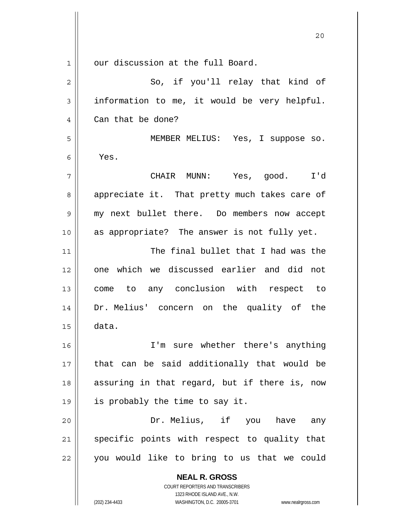**NEAL R. GROSS** COURT REPORTERS AND TRANSCRIBERS 1323 RHODE ISLAND AVE., N.W. 1 || our discussion at the full Board. 2 So, if you'll relay that kind of  $3 \parallel$  information to me, it would be very helpful. 4 | Can that be done? 5 MEMBER MELIUS: Yes, I suppose so.  $6 \parallel$  Yes. 7 CHAIR MUNN: Yes, good. I'd 8 appreciate it. That pretty much takes care of 9 || my next bullet there. Do members now accept 10 || as appropriate? The answer is not fully yet. 11 || The final bullet that I had was the 12 one which we discussed earlier and did not 13 come to any conclusion with respect to 14 Dr. Melius' concern on the quality of the  $15$   $\parallel$  data. 16 I'm sure whether there's anything 17 || that can be said additionally that would be 18 || assuring in that regard, but if there is, now 19  $\parallel$  is probably the time to say it. 20 || The Dr. Melius, if you have any  $21$  specific points with respect to quality that  $22$  || you would like to bring to us that we could

20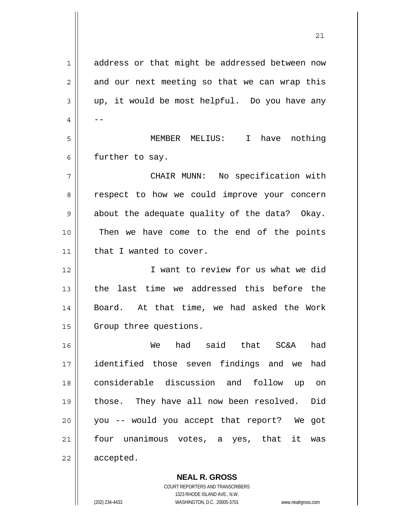| 1  | address or that might be addressed between now |
|----|------------------------------------------------|
| 2  | and our next meeting so that we can wrap this  |
| 3  | up, it would be most helpful. Do you have any  |
| 4  |                                                |
| 5  | MEMBER MELIUS: I have nothing                  |
| 6  | further to say.                                |
| 7  | CHAIR MUNN: No specification with              |
| 8  | respect to how we could improve your concern   |
| 9  | about the adequate quality of the data? Okay.  |
| 10 | Then we have come to the end of the points     |
| 11 | that I wanted to cover.                        |
| 12 | I want to review for us what we did            |
| 13 | the last time we addressed this before the     |
| 14 | Board. At that time, we had asked the Work     |
| 15 | Group three questions.                         |
| 16 | had<br>said that<br>SC&A<br>had<br>We          |
| 17 | identified those seven findings and we<br>had  |
| 18 | considerable discussion and follow up on       |
| 19 | those. They have all now been resolved.<br>Did |
| 20 | you -- would you accept that report? We got    |
| 21 | unanimous votes, a yes, that it was<br>four    |
| 22 | accepted.                                      |
|    |                                                |

 **NEAL R. GROSS** COURT REPORTERS AND TRANSCRIBERS 1323 RHODE ISLAND AVE., N.W.

 $\mathsf{II}$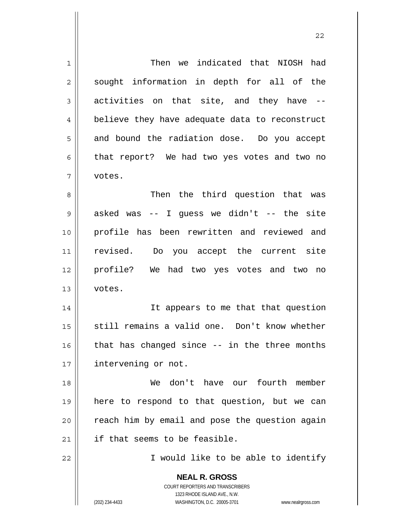| 1              | Then we indicated that NIOSH had                                    |
|----------------|---------------------------------------------------------------------|
| $\overline{2}$ | sought information in depth for all of the                          |
| 3              | activities on that site, and they have --                           |
| 4              | believe they have adequate data to reconstruct                      |
| 5              | and bound the radiation dose. Do you accept                         |
| 6              | that report? We had two yes votes and two no                        |
| 7              | votes.                                                              |
| 8              | Then the third question that was                                    |
| 9              | asked was -- I guess we didn't -- the site                          |
| 10             | profile has been rewritten and reviewed and                         |
| 11             | revised. Do you accept the current site                             |
| 12             | profile? We had two yes votes and two no                            |
| 13             | votes.                                                              |
| 14             | It appears to me that that question                                 |
| 15             | still remains a valid one. Don't know whether                       |
| 16             | that has changed since -- in the three months                       |
| 17             | intervening or not.                                                 |
| 18             | don't have our fourth member<br>We                                  |
| 19             | here to respond to that question, but we can                        |
| 20             | reach him by email and pose the question again                      |
| 21             | if that seems to be feasible.                                       |
| 22             | I would like to be able to identify                                 |
|                | <b>NEAL R. GROSS</b>                                                |
|                | <b>COURT REPORTERS AND TRANSCRIBERS</b>                             |
|                | 1323 RHODE ISLAND AVE., N.W.                                        |
|                | (202) 234-4433<br>WASHINGTON, D.C. 20005-3701<br>www.nealrgross.com |

 $\mathsf{I}$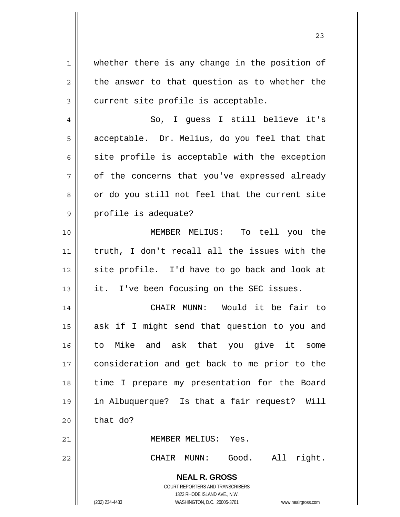**NEAL R. GROSS** COURT REPORTERS AND TRANSCRIBERS 1323 RHODE ISLAND AVE., N.W. 1 || whether there is any change in the position of  $2 \parallel$  the answer to that question as to whether the  $3 \parallel$  current site profile is acceptable. 4 So, I guess I still believe it's  $5 \parallel$  acceptable. Dr. Melius, do you feel that that  $6 \parallel$  site profile is acceptable with the exception  $7 \parallel$  of the concerns that you've expressed already  $8 \parallel$  or do you still not feel that the current site 9 || profile is adequate? 10 MEMBER MELIUS: To tell you the 11 truth, I don't recall all the issues with the 12 || site profile. I'd have to go back and look at  $13$  || it. I've been focusing on the SEC issues. 14 CHAIR MUNN: Would it be fair to 15 || ask if I might send that question to you and 16 to Mike and ask that you give it some 17 || consideration and get back to me prior to the 18 || time I prepare my presentation for the Board 19 in Albuquerque? Is that a fair request? Will  $20$  that do? 21 MEMBER MELIUS: Yes. 22 CHAIR MUNN: Good. All right.

23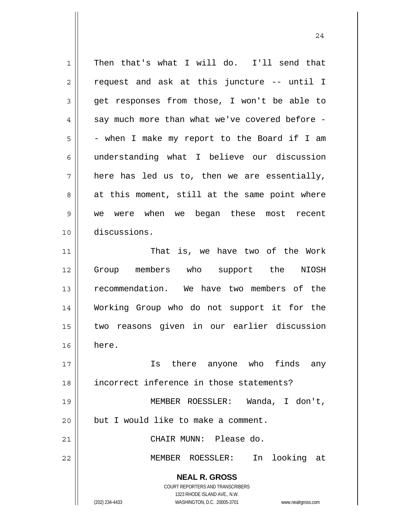**NEAL R. GROSS** COURT REPORTERS AND TRANSCRIBERS 1323 RHODE ISLAND AVE., N.W. (202) 234-4433 WASHINGTON, D.C. 20005-3701 www.nealrgross.com 1 | Then that's what I will do. I'll send that  $2 \parallel$  request and ask at this juncture -- until I 3 get responses from those, I won't be able to  $4 \parallel$  say much more than what we've covered before - $5 \parallel$  - when I make my report to the Board if I am 6 understanding what I believe our discussion  $7 \parallel$  here has led us to, then we are essentially,  $8 \parallel$  at this moment, still at the same point where 9 we were when we began these most recent 10 discussions. 11 || That is, we have two of the Work 12 Group members who support the NIOSH 13 || recommendation. We have two members of the 14 Working Group who do not support it for the 15 two reasons given in our earlier discussion  $16 \parallel$  here. 17 Is there anyone who finds any 18 incorrect inference in those statements? 19 MEMBER ROESSLER: Wanda, I don't,  $20$  | but I would like to make a comment. 21 CHAIR MUNN: Please do. 22 MEMBER ROESSLER: In looking at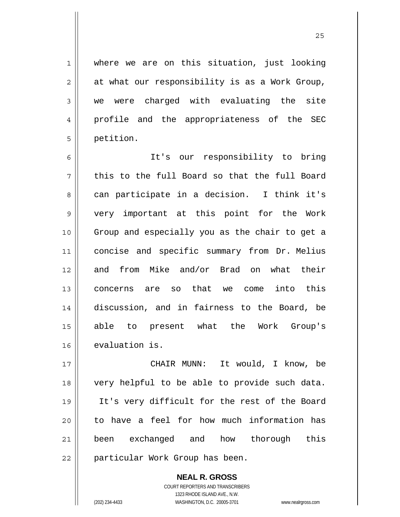<u>25</u>

1 where we are on this situation, just looking  $2 \parallel$  at what our responsibility is as a Work Group, 3 we were charged with evaluating the site 4 || profile and the appropriateness of the SEC 5 | petition.

It's our responsibility to bring  $\parallel$  this to the full Board so that the full Board 8 can participate in a decision. I think it's very important at this point for the Work Group and especially you as the chair to get a concise and specific summary from Dr. Melius 12 and from Mike and/or Brad on what their concerns are so that we come into this discussion, and in fairness to the Board, be able to present what the Work Group's evaluation is.

CHAIR MUNN: It would, I know, be very helpful to be able to provide such data. It's very difficult for the rest of the Board 20 || to have a feel for how much information has been exchanged and how thorough this 22 || particular Work Group has been.

> **NEAL R. GROSS** COURT REPORTERS AND TRANSCRIBERS 1323 RHODE ISLAND AVE., N.W. (202) 234-4433 WASHINGTON, D.C. 20005-3701 www.nealrgross.com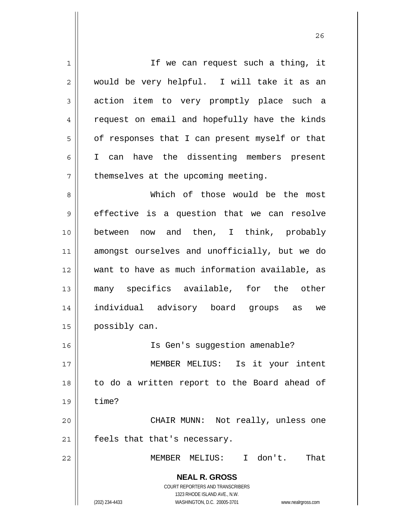**NEAL R. GROSS** COURT REPORTERS AND TRANSCRIBERS 1323 RHODE ISLAND AVE., N.W. (202) 234-4433 WASHINGTON, D.C. 20005-3701 www.nealrgross.com 1 || If we can request such a thing, it 2 would be very helpful. I will take it as an 3 action item to very promptly place such a 4 || request on email and hopefully have the kinds  $5 \parallel$  of responses that I can present myself or that 6 || I can have the dissenting members present  $7$  | themselves at the upcoming meeting. 8 Which of those would be the most 9 || effective is a question that we can resolve 10 || between now and then, I think, probably 11 amongst ourselves and unofficially, but we do 12 want to have as much information available, as 13 many specifics available, for the other 14 individual advisory board groups as we 15 | possibly can. 16 || Is Gen's suggestion amenable? 17 MEMBER MELIUS: Is it your intent 18 to do a written report to the Board ahead of  $19 \parallel$  time? 20 || CHAIR MUNN: Not really, unless one 21 | feels that that's necessary. 22 MEMBER MELIUS: I don't. That

<u>26</u>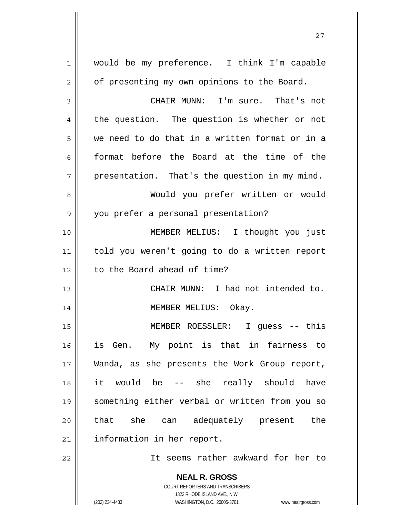| $\mathbf 1$    | would be my preference. I think I'm capable                         |
|----------------|---------------------------------------------------------------------|
| $\overline{2}$ | of presenting my own opinions to the Board.                         |
| 3              | CHAIR MUNN: I'm sure. That's not                                    |
| 4              | the question. The question is whether or not                        |
| 5              | we need to do that in a written format or in a                      |
| 6              | format before the Board at the time of the                          |
| 7              | presentation. That's the question in my mind.                       |
| 8              | Would you prefer written or would                                   |
| 9              | you prefer a personal presentation?                                 |
| 10             | MEMBER MELIUS: I thought you just                                   |
| 11             | told you weren't going to do a written report                       |
|                |                                                                     |
| 12             | to the Board ahead of time?                                         |
| 13             | CHAIR MUNN: I had not intended to.                                  |
| 14             | MEMBER MELIUS: Okay.                                                |
| 15             | MEMBER ROESSLER: I guess -- this                                    |
| 16             | is Gen. My point is that in fairness to                             |
| 17             | Wanda, as she presents the Work Group report,                       |
| 18             | -- she really should<br>it would be<br>have                         |
| 19             | something either verbal or written from you so                      |
| 20             | that she<br>can adequately present<br>the                           |
| 21             | information in her report.                                          |
| 22             | It seems rather awkward for her to                                  |
|                |                                                                     |
|                | <b>NEAL R. GROSS</b><br>COURT REPORTERS AND TRANSCRIBERS            |
|                | 1323 RHODE ISLAND AVE., N.W.                                        |
|                | (202) 234-4433<br>WASHINGTON, D.C. 20005-3701<br>www.nealrgross.com |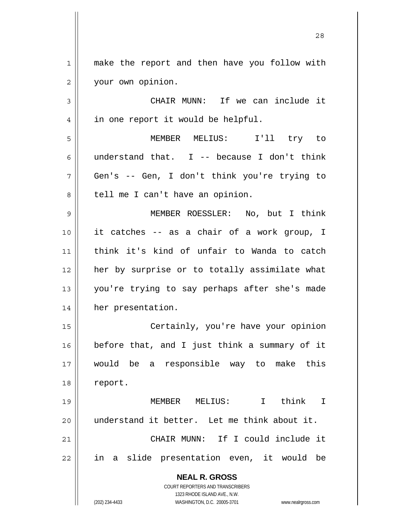1 || make the report and then have you follow with 2 | your own opinion.

3 CHAIR MUNN: If we can include it 4 | in one report it would be helpful.

5 MEMBER MELIUS: I'll try to 6 || understand that. I -- because I don't think 7 Gen's -- Gen, I don't think you're trying to 8 | tell me I can't have an opinion.

MEMBER ROESSLER: No, but I think it catches -- as a chair of a work group, I think it's kind of unfair to Wanda to catch 12 || her by surprise or to totally assimilate what you're trying to say perhaps after she's made her presentation.

Certainly, you're have your opinion before that, and I just think a summary of it would be a responsible way to make this 18 | report.

MEMBER MELIUS: I think I 20 || understand it better. Let me think about it. CHAIR MUNN: If I could include it in a slide presentation even, it would be

> **NEAL R. GROSS** COURT REPORTERS AND TRANSCRIBERS

> > 1323 RHODE ISLAND AVE., N.W.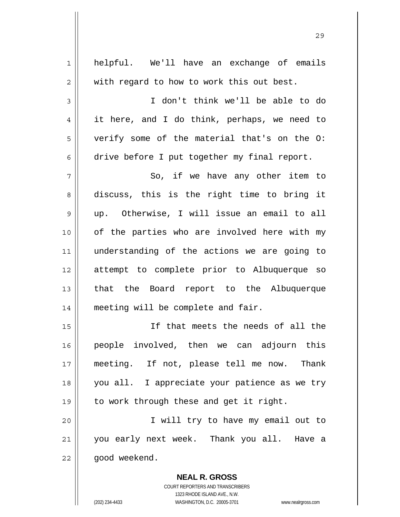| 1  | helpful. We'll have an exchange of emails                |
|----|----------------------------------------------------------|
| 2  | with regard to how to work this out best.                |
| 3  | I don't think we'll be able to do                        |
| 4  | it here, and I do think, perhaps, we need to             |
| 5  | verify some of the material that's on the O:             |
| 6  | drive before I put together my final report.             |
| 7  | So, if we have any other item to                         |
| 8  | discuss, this is the right time to bring it              |
| 9  | up. Otherwise, I will issue an email to all              |
| 10 | of the parties who are involved here with my             |
| 11 | understanding of the actions we are going to             |
| 12 | attempt to complete prior to Albuquerque so              |
| 13 | that the Board report to the Albuquerque                 |
| 14 | meeting will be complete and fair.                       |
| 15 | If that meets the needs of all the                       |
| 16 | people involved, then we can adjourn this                |
| 17 | meeting. If not, please tell me now. Thank               |
| 18 | you all. I appreciate your patience as we try            |
| 19 | to work through these and get it right.                  |
| 20 | I will try to have my email out to                       |
| 21 | you early next week. Thank you all. Have a               |
| 22 | good weekend.                                            |
|    | <b>NEAL R. GROSS</b><br>COURT REPORTERS AND TRANSCRIBERS |

<u>29</u>

1323 RHODE ISLAND AVE., N.W.

 $\prod$